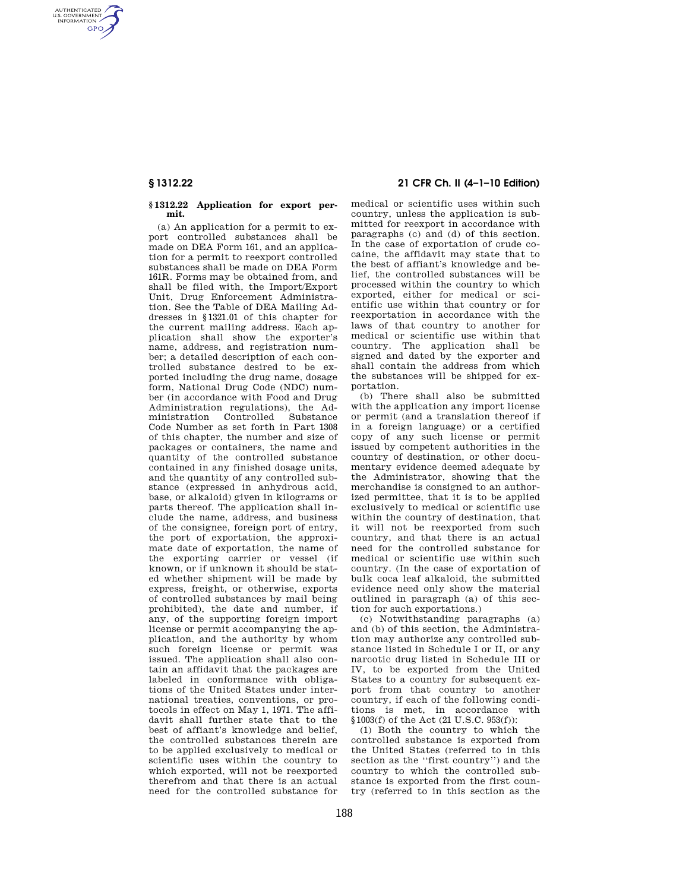AUTHENTICATED<br>U.S. GOVERNMENT<br>INFORMATION **GPO** 

## **§ 1312.22 Application for export permit.**

(a) An application for a permit to export controlled substances shall be made on DEA Form 161, and an application for a permit to reexport controlled substances shall be made on DEA Form 161R. Forms may be obtained from, and shall be filed with, the Import/Export Unit, Drug Enforcement Administration. See the Table of DEA Mailing Addresses in §1321.01 of this chapter for the current mailing address. Each application shall show the exporter's name, address, and registration number; a detailed description of each controlled substance desired to be exported including the drug name, dosage form, National Drug Code (NDC) number (in accordance with Food and Drug Administration regulations), the Administration Controlled Substance Code Number as set forth in Part 1308 of this chapter, the number and size of packages or containers, the name and quantity of the controlled substance contained in any finished dosage units, and the quantity of any controlled substance (expressed in anhydrous acid, base, or alkaloid) given in kilograms or parts thereof. The application shall include the name, address, and business of the consignee, foreign port of entry, the port of exportation, the approximate date of exportation, the name of the exporting carrier or vessel (if known, or if unknown it should be stated whether shipment will be made by express, freight, or otherwise, exports of controlled substances by mail being prohibited), the date and number, if any, of the supporting foreign import license or permit accompanying the application, and the authority by whom such foreign license or permit was issued. The application shall also contain an affidavit that the packages are labeled in conformance with obligations of the United States under international treaties, conventions, or protocols in effect on May 1, 1971. The affidavit shall further state that to the best of affiant's knowledge and belief, the controlled substances therein are to be applied exclusively to medical or scientific uses within the country to which exported, will not be reexported therefrom and that there is an actual need for the controlled substance for

# **§ 1312.22 21 CFR Ch. II (4–1–10 Edition)**

medical or scientific uses within such country, unless the application is submitted for reexport in accordance with paragraphs (c) and (d) of this section. In the case of exportation of crude cocaine, the affidavit may state that to the best of affiant's knowledge and belief, the controlled substances will be processed within the country to which exported, either for medical or scientific use within that country or for reexportation in accordance with the laws of that country to another for medical or scientific use within that country. The application shall be signed and dated by the exporter and shall contain the address from which the substances will be shipped for exportation.

(b) There shall also be submitted with the application any import license or permit (and a translation thereof if in a foreign language) or a certified copy of any such license or permit issued by competent authorities in the country of destination, or other documentary evidence deemed adequate by the Administrator, showing that the merchandise is consigned to an authorized permittee, that it is to be applied exclusively to medical or scientific use within the country of destination, that it will not be reexported from such country, and that there is an actual need for the controlled substance for medical or scientific use within such country. (In the case of exportation of bulk coca leaf alkaloid, the submitted evidence need only show the material outlined in paragraph (a) of this section for such exportations.)

(c) Notwithstanding paragraphs (a) and (b) of this section, the Administration may authorize any controlled substance listed in Schedule I or II, or any narcotic drug listed in Schedule III or IV, to be exported from the United States to a country for subsequent export from that country to another country, if each of the following conditions is met, in accordance with §1003(f) of the Act (21 U.S.C. 953(f)):

(1) Both the country to which the controlled substance is exported from the United States (referred to in this section as the ''first country'') and the country to which the controlled substance is exported from the first country (referred to in this section as the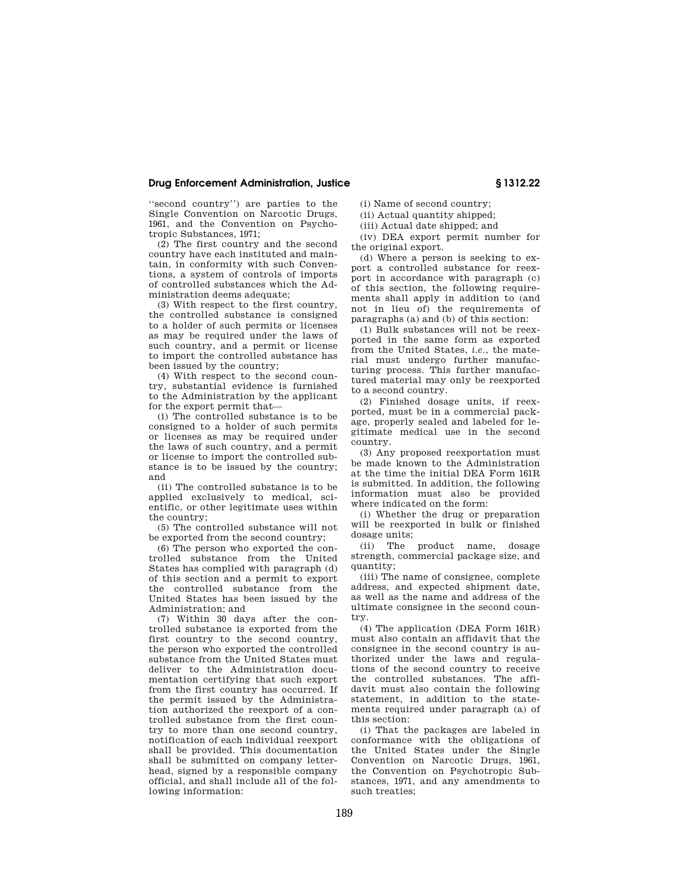## **Drug Enforcement Administration, Justice § 1312.22**

''second country'') are parties to the Single Convention on Narcotic Drugs, 1961, and the Convention on Psychotropic Substances, 1971;

(2) The first country and the second country have each instituted and maintain, in conformity with such Conventions, a system of controls of imports of controlled substances which the Administration deems adequate;

(3) With respect to the first country, the controlled substance is consigned to a holder of such permits or licenses as may be required under the laws of such country, and a permit or license to import the controlled substance has been issued by the country;

(4) With respect to the second country, substantial evidence is furnished to the Administration by the applicant for the export permit that—

(i) The controlled substance is to be consigned to a holder of such permits or licenses as may be required under the laws of such country, and a permit or license to import the controlled substance is to be issued by the country; and

(ii) The controlled substance is to be applied exclusively to medical, scientific, or other legitimate uses within the country;

(5) The controlled substance will not be exported from the second country;

(6) The person who exported the controlled substance from the United States has complied with paragraph (d) of this section and a permit to export the controlled substance from the United States has been issued by the Administration; and

(7) Within 30 days after the controlled substance is exported from the first country to the second country, the person who exported the controlled substance from the United States must deliver to the Administration documentation certifying that such export from the first country has occurred. If the permit issued by the Administration authorized the reexport of a controlled substance from the first country to more than one second country, notification of each individual reexport shall be provided. This documentation shall be submitted on company letterhead, signed by a responsible company official, and shall include all of the following information:

(i) Name of second country; (ii) Actual quantity shipped;

(iii) Actual date shipped; and

(iv) DEA export permit number for the original export.

(d) Where a person is seeking to export a controlled substance for reexport in accordance with paragraph (c) of this section, the following requirements shall apply in addition to (and not in lieu of) the requirements of paragraphs (a) and (b) of this section:

(1) Bulk substances will not be reexported in the same form as exported from the United States, *i.e.*, the material must undergo further manufacturing process. This further manufactured material may only be reexported to a second country.

(2) Finished dosage units, if reexported, must be in a commercial package, properly sealed and labeled for legitimate medical use in the second country.

(3) Any proposed reexportation must be made known to the Administration at the time the initial DEA Form 161R is submitted. In addition, the following information must also be provided where indicated on the form:

(i) Whether the drug or preparation will be reexported in bulk or finished dosage units;

(ii) The product name, dosage strength, commercial package size, and quantity;

(iii) The name of consignee, complete address, and expected shipment date, as well as the name and address of the ultimate consignee in the second country.

(4) The application (DEA Form 161R) must also contain an affidavit that the consignee in the second country is authorized under the laws and regulations of the second country to receive the controlled substances. The affidavit must also contain the following statement, in addition to the statements required under paragraph (a) of this section:

(i) That the packages are labeled in conformance with the obligations of the United States under the Single Convention on Narcotic Drugs, 1961, the Convention on Psychotropic Substances, 1971, and any amendments to such treaties;